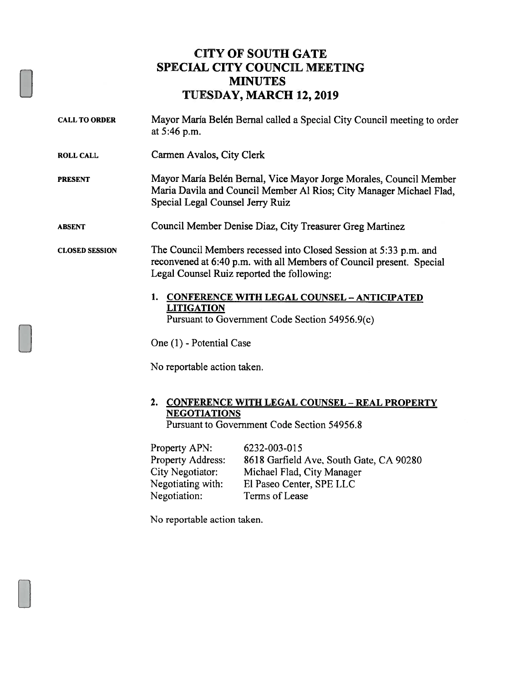## CITY OF SOUTH GATE SPECIAL CITY COUNCIL MEETING MINUTES TUESDAY, MARCH 12,2019

| <b>CALL TO ORDER</b>  | Mayor María Belén Bernal called a Special City Council meeting to order<br>at 5:46 p.m.                                                                                                 |
|-----------------------|-----------------------------------------------------------------------------------------------------------------------------------------------------------------------------------------|
| <b>ROLL CALL</b>      | Carmen Avalos, City Clerk                                                                                                                                                               |
| <b>PRESENT</b>        | Mayor María Belén Bernal, Vice Mayor Jorge Morales, Council Member<br>Maria Davila and Council Member Al Rios; City Manager Michael Flad,<br>Special Legal Counsel Jerry Ruiz           |
| <b>ABSENT</b>         | Council Member Denise Diaz, City Treasurer Greg Martinez                                                                                                                                |
| <b>CLOSED SESSION</b> | The Council Members recessed into Closed Session at 5:33 p.m. and<br>reconvened at 6:40 p.m. with all Members of Council present. Special<br>Legal Counsel Ruiz reported the following: |
|                       | 1.<br><b>CONFERENCE WITH LEGAL COUNSEL - ANTICIPATED</b><br><b>LITIGATION</b><br>Pursuant to Government Code Section 54956.9(c)                                                         |
|                       | One (1) - Potential Case                                                                                                                                                                |
|                       | No reportable action taken.                                                                                                                                                             |
|                       | 2.<br><b>CONFERENCE WITH LEGAL COUNSEL - REAL PROPERTY</b><br><b>NEGOTIATIONS</b>                                                                                                       |

Pursuant to Government Code Section 54956.8

| Property APN:            | 6232-003-015                            |
|--------------------------|-----------------------------------------|
| <b>Property Address:</b> | 8618 Garfield Ave, South Gate, CA 90280 |
| City Negotiator:         | Michael Flad, City Manager              |
| Negotiating with:        | El Paseo Center, SPE LLC                |
| Negotiation:             | Terms of Lease                          |

No reportable action taken.